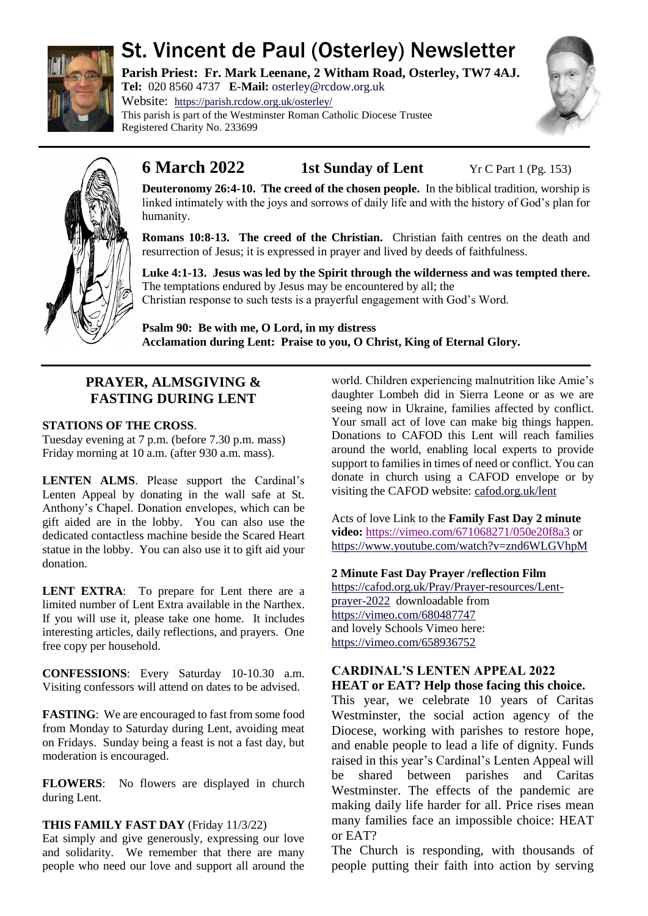

# St. Vincent de Paul (Osterley) Newsletter

**Parish Priest: Fr. Mark Leenane, 2 Witham Road, Osterley, TW7 4AJ. Tel:** 020 8560 4737 **E-Mail:** [osterley@rcdow.org.uk](mailto:osterley@rcdow.org.uk)

Website: <https://parish.rcdow.org.uk/osterley/> This parish is part of the Westminster Roman Catholic Diocese Trustee Registered Charity No. 233699





# **6 March 2022 1st Sunday of Lent** Yr C Part 1 (Pg. 153)

**Deuteronomy 26:4-10. The creed of the chosen people.** In the biblical tradition, worship is linked intimately with the joys and sorrows of daily life and with the history of God's plan for humanity.

**Romans 10:8-13. The creed of the Christian.** Christian faith centres on the death and resurrection of Jesus; it is expressed in prayer and lived by deeds of faithfulness.

**Luke 4:1-13. Jesus was led by the Spirit through the wilderness and was tempted there.**  The temptations endured by Jesus may be encountered by all; the Christian response to such tests is a prayerful engagement with God's Word.

**Psalm 90: Be with me, O Lord, in my distress Acclamation during Lent: Praise to you, O Christ, King of Eternal Glory.**

# **PRAYER, ALMSGIVING & FASTING DURING LENT**

### **STATIONS OF THE CROSS**.

Tuesday evening at 7 p.m. (before 7.30 p.m. mass) Friday morning at 10 a.m. (after 930 a.m. mass).

**LENTEN ALMS**. Please support the Cardinal's Lenten Appeal by donating in the wall safe at St. Anthony's Chapel. Donation envelopes, which can be gift aided are in the lobby. You can also use the dedicated contactless machine beside the Scared Heart statue in the lobby. You can also use it to gift aid your donation.

**LENT EXTRA**: To prepare for Lent there are a limited number of Lent Extra available in the Narthex. If you will use it, please take one home. It includes interesting articles, daily reflections, and prayers. One free copy per household.

**CONFESSIONS**: Every Saturday 10-10.30 a.m. Visiting confessors will attend on dates to be advised.

**FASTING**: We are encouraged to fast from some food from Monday to Saturday during Lent, avoiding meat on Fridays. Sunday being a feast is not a fast day, but moderation is encouraged.

**FLOWERS**: No flowers are displayed in church during Lent.

## **THIS FAMILY FAST DAY** (Friday 11/3/22)

Eat simply and give generously, expressing our love and solidarity. We remember that there are many people who need our love and support all around the world. Children experiencing malnutrition like Amie's daughter Lombeh did in Sierra Leone or as we are seeing now in Ukraine, families affected by conflict. Your small act of love can make big things happen. Donations to CAFOD this Lent will reach families around the world, enabling local experts to provide support to families in times of need or conflict. You can donate in church using a CAFOD envelope or by visiting the CAFOD website: [cafod.org.uk/lent](https://cafod.org.uk/Lent)

Acts of love Link to the **Family Fast Day 2 minute video:** <https://vimeo.com/671068271/050e20f8a3> or <https://www.youtube.com/watch?v=znd6WLGVhpM>

## **2 Minute Fast Day Prayer /reflection Film**

[https://cafod.org.uk/Pray/Prayer-resources/Lent](https://cafod.org.uk/Pray/Prayer-resources/Lent-prayer-2022)[prayer-2022](https://cafod.org.uk/Pray/Prayer-resources/Lent-prayer-2022) downloadable from <https://vimeo.com/680487747> and lovely Schools Vimeo here: <https://vimeo.com/658936752>

# **CARDINAL'S LENTEN APPEAL 2022**

**HEAT or EAT? Help those facing this choice.** 

This year, we celebrate 10 years of Caritas Westminster, the social action agency of the Diocese, working with parishes to restore hope, and enable people to lead a life of dignity. Funds raised in this year's Cardinal's Lenten Appeal will be shared between parishes and Caritas Westminster. The effects of the pandemic are making daily life harder for all. Price rises mean many families face an impossible choice: HEAT or EAT?

The Church is responding, with thousands of people putting their faith into action by serving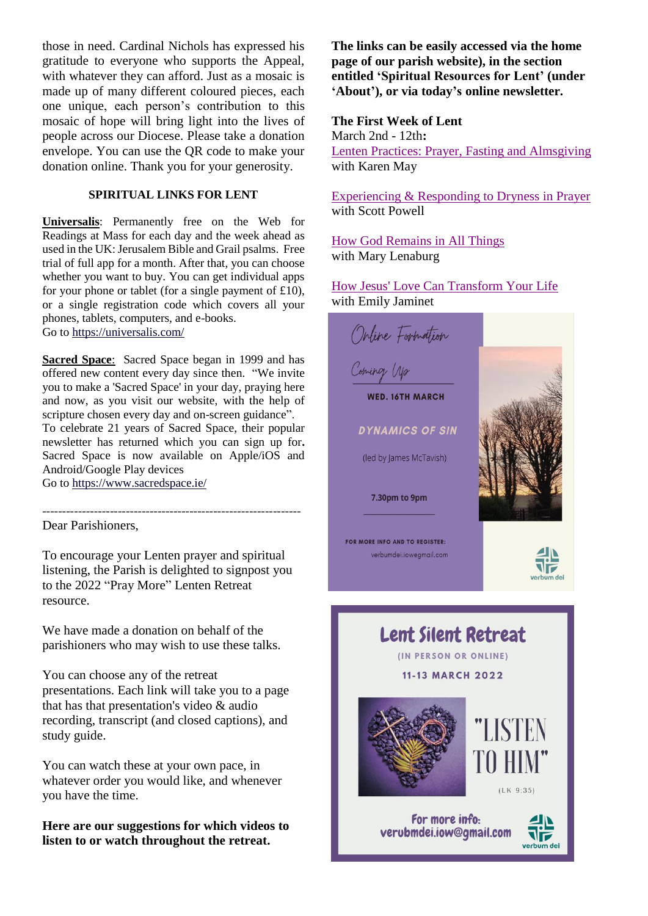those in need. Cardinal Nichols has expressed his gratitude to everyone who supports the Appeal, with whatever they can afford. Just as a mosaic is made up of many different coloured pieces, each one unique, each person's contribution to this mosaic of hope will bring light into the lives of people across our Diocese. Please take a donation envelope. You can use the QR code to make your donation online. Thank you for your generosity.

#### **SPIRITUAL LINKS FOR LENT**

**Universalis**: Permanently free on the Web for Readings at Mass for each day and the week ahead as used in the UK: Jerusalem Bible and Grail psalms. Free trial of full app for a month. After that, you can choose whether you want to buy. You can get individual apps for your phone or tablet (for a single payment of £10), or a single registration code which covers all your phones, tablets, computers, and e-books. Go to<https://universalis.com/>

**Sacred Space**: Sacred Space began in 1999 and has offered new content every day since then. "We invite you to make a 'Sacred Space' in your day, praying here and now, as you visit our website, with the help of scripture chosen every day and on-screen guidance". To celebrate 21 years of Sacred Space, their popular newsletter has returned which you can sign up for**.**  Sacred Space is now available on Apple/iOS and Android/Google Play devices Go to<https://www.sacredspace.ie/>

Dear Parishioners,

To encourage your Lenten prayer and spiritual listening, the Parish is delighted to signpost you to the 2022 "Pray More" Lenten Retreat resource.

-----------------------------------------------------------------

We have made a donation on behalf of the parishioners who may wish to use these talks.

You can choose any of the retreat presentations. Each link will take you to a page that has that presentation's video & audio recording, transcript (and closed captions), and study guide.

You can watch these at your own pace, in whatever order you would like, and whenever you have the time.

**Here are our suggestions for which videos to listen to or watch throughout the retreat.** 

**The links can be easily accessed via the home page of our parish website), in the section entitled 'Spiritual Resources for Lent' (under 'About'), or via today's online newsletter.**

#### **The First Week of Lent**

March 2nd - 12th**:** [Lenten Practices: Prayer, Fasting and Almsgiving](https://praymoreretreat.us2.list-manage.com/track/click?u=4165fbdf0f773abfadd804de8&id=94b1d931f7&e=c80a25857d) with Karen May

[Experiencing & Responding to Dryness in Prayer](https://praymoreretreat.us2.list-manage.com/track/click?u=4165fbdf0f773abfadd804de8&id=9345136e7f&e=c80a25857d) with Scott Powell

[How God Remains in All Things](https://praymoreretreat.us2.list-manage.com/track/click?u=4165fbdf0f773abfadd804de8&id=24d23afde6&e=c80a25857d) with Mary Lenaburg

[How Jesus' Love Can Transform Your Life](https://praymoreretreat.us2.list-manage.com/track/click?u=4165fbdf0f773abfadd804de8&id=ae5f6030a9&e=c80a25857d) with Emily Jaminet



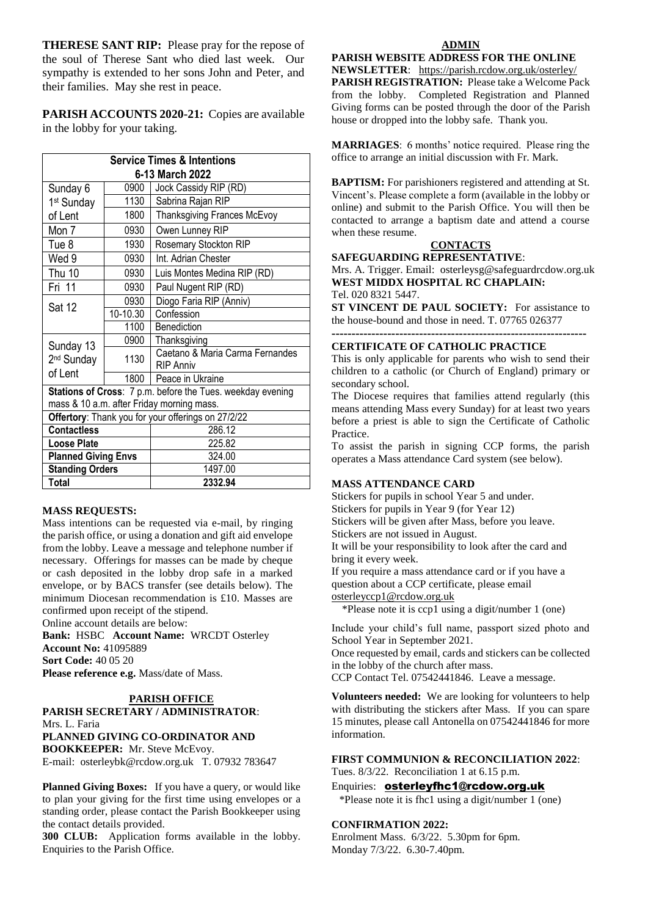**THERESE SANT RIP:** Please pray for the repose of the soul of Therese Sant who died last week. Our sympathy is extended to her sons John and Peter, and their families. May she rest in peace.

**PARISH ACCOUNTS 2020-21:** Copies are available in the lobby for your taking.

| <b>Service Times &amp; Intentions</b>                      |          |                                                     |
|------------------------------------------------------------|----------|-----------------------------------------------------|
| 6-13 March 2022                                            |          |                                                     |
| Sunday 6                                                   | 0900     | Jock Cassidy RIP (RD)                               |
| 1 <sup>st</sup> Sunday                                     | 1130     | Sabrina Rajan RIP                                   |
| of Lent                                                    | 1800     | Thanksgiving Frances McEvoy                         |
| Mon 7                                                      | 0930     | Owen Lunney RIP                                     |
| Tue 8                                                      | 1930     | Rosemary Stockton RIP                               |
| Wed 9                                                      | 0930     | Int. Adrian Chester                                 |
| Thu 10                                                     | 0930     | Luis Montes Medina RIP (RD)                         |
| Fri 11                                                     | 0930     | Paul Nugent RIP (RD)                                |
| <b>Sat 12</b>                                              | 0930     | Diogo Faria RIP (Anniv)                             |
|                                                            | 10-10.30 | Confession                                          |
|                                                            | 1100     | Benediction                                         |
| Sunday 13<br>2 <sup>nd</sup> Sunday                        | 0900     | Thanksgiving                                        |
|                                                            | 1130     | Caetano & Maria Carma Fernandes<br><b>RIP Anniv</b> |
| of Lent                                                    | 1800     | Peace in Ukraine                                    |
| Stations of Cross: 7 p.m. before the Tues. weekday evening |          |                                                     |
| mass & 10 a.m. after Friday morning mass.                  |          |                                                     |
| Offertory: Thank you for your offerings on 27/2/22         |          |                                                     |
| <b>Contactless</b>                                         |          | 286.12                                              |
| Loose Plate                                                |          | 225.82                                              |
| <b>Planned Giving Envs</b>                                 |          | 324.00                                              |
| <b>Standing Orders</b>                                     |          | 1497.00                                             |
| <b>Total</b>                                               |          | 2332.94                                             |

#### **MASS REQUESTS:**

Mass intentions can be requested via e-mail, by ringing the parish office, or using a donation and gift aid envelope from the lobby. Leave a message and telephone number if necessary. Offerings for masses can be made by cheque or cash deposited in the lobby drop safe in a marked envelope, or by BACS transfer (see details below). The minimum Diocesan recommendation is £10. Masses are confirmed upon receipt of the stipend. Online account details are below:

**Bank:** HSBC **Account Name:** WRCDT Osterley **Account No:** 41095889 **Sort Code:** 40 05 20 **Please reference e.g.** Mass/date of Mass.

#### **PARISH OFFICE**

**PARISH SECRETARY / ADMINISTRATOR**: Mrs. L. Faria **PLANNED GIVING CO-ORDINATOR AND BOOKKEEPER:** Mr. Steve McEvoy. E-mail: [osterleybk@rcdow.org.uk](mailto:osterleybk@rcdow.org.uk) T. 07932 783647

**Planned Giving Boxes:** If you have a query, or would like to plan your giving for the first time using envelopes or a standing order, please contact the Parish Bookkeeper using the contact details provided.

**300 CLUB:** Application forms available in the lobby. Enquiries to the Parish Office.

**PARISH WEBSITE ADDRESS FOR THE ONLINE** 

**NEWSLETTER**: <https://parish.rcdow.org.uk/osterley/> **PARISH REGISTRATION:** Please take a Welcome Pack from the lobby. Completed Registration and Planned Giving forms can be posted through the door of the Parish house or dropped into the lobby safe. Thank you.

**MARRIAGES**: 6 months' notice required. Please ring the office to arrange an initial discussion with Fr. Mark.

**BAPTISM:** For parishioners registered and attending at St. Vincent's. Please complete a form (available in the lobby or online) and submit to the Parish Office. You will then be contacted to arrange a baptism date and attend a course when these resume.

#### **CONTACTS**

**SAFEGUARDING REPRESENTATIVE**:

Mrs. A. Trigger. Email: osterleysg@safeguardrcdow.org.uk **WEST MIDDX HOSPITAL RC CHAPLAIN:**  Tel. 020 8321 5447.

**ST VINCENT DE PAUL SOCIETY:** For assistance to the house-bound and those in need. T. 07765 026377

**----------------------------------------------------------------**

#### **CERTIFICATE OF CATHOLIC PRACTICE**

This is only applicable for parents who wish to send their children to a catholic (or Church of England) primary or secondary school.

The Diocese requires that families attend regularly (this means attending Mass every Sunday) for at least two years before a priest is able to sign the Certificate of Catholic Practice.

To assist the parish in signing CCP forms, the parish operates a Mass attendance Card system (see below).

#### **MASS ATTENDANCE CARD**

Stickers for pupils in school Year 5 and under. Stickers for pupils in Year 9 (for Year 12) Stickers will be given after Mass, before you leave. Stickers are not issued in August.

It will be your responsibility to look after the card and bring it every week.

If you require a mass attendance card or if you have a question about a CCP certificate, please email [osterleyccp1@rcdow.org.uk](mailto:osterleyccp1@rcdow.org.uk)

\*Please note it is ccp1 using a digit/number 1 (one)

Include your child's full name, passport sized photo and School Year in September 2021.

Once requested by email, cards and stickers can be collected in the lobby of the church after mass.

CCP Contact Tel. 07542441846. Leave a message.

**Volunteers needed:** We are looking for volunteers to help with distributing the stickers after Mass. If you can spare 15 minutes, please call Antonella on 07542441846 for more information.

#### **FIRST COMMUNION & RECONCILIATION 2022**:

Tues. 8/3/22. Reconciliation 1 at 6.15 p.m.

Enquiries: [osterleyfhc1@rcdow.org.uk](mailto:osterleyfhc1@rcdow.org.uk) \*Please note it is fhc1 using a digit/number 1 (one)

#### **CONFIRMATION 2022:**

Enrolment Mass. 6/3/22. 5.30pm for 6pm. Monday 7/3/22. 6.30-7.40pm.